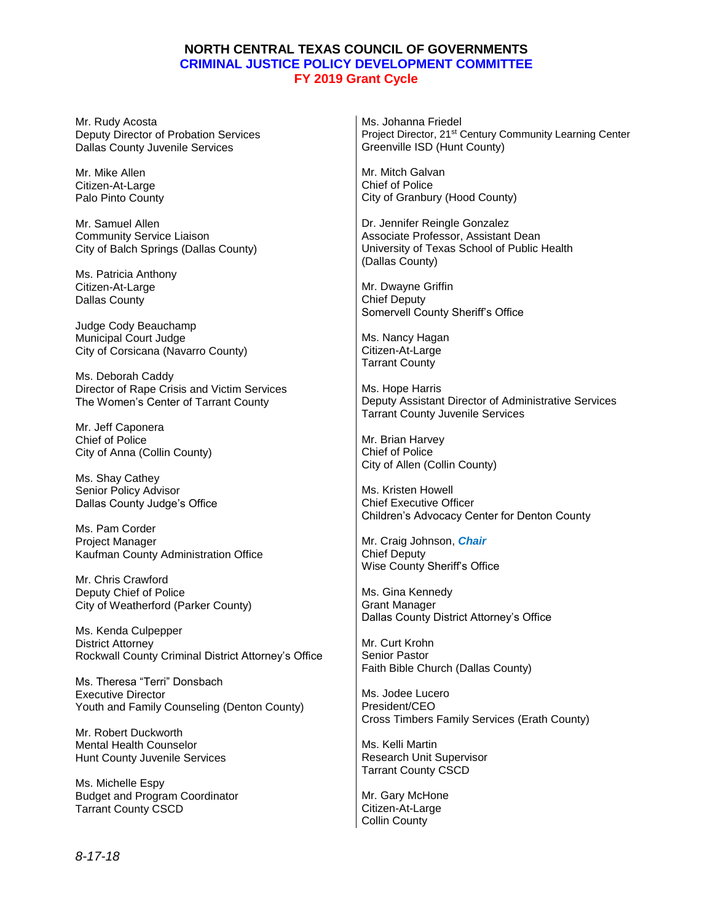## **NORTH CENTRAL TEXAS COUNCIL OF GOVERNMENTS CRIMINAL JUSTICE POLICY DEVELOPMENT COMMITTEE FY 2019 Grant Cycle**

| Mr. Rudy Acosta                                                                               | Ms. Johanna Friedel                                                                                                                    |
|-----------------------------------------------------------------------------------------------|----------------------------------------------------------------------------------------------------------------------------------------|
| Deputy Director of Probation Services                                                         | Project Director, 21 <sup>st</sup> Century Community Learning Center                                                                   |
| Dallas County Juvenile Services                                                               | Greenville ISD (Hunt County)                                                                                                           |
| Mr. Mike Allen                                                                                | Mr. Mitch Galvan                                                                                                                       |
| Citizen-At-Large                                                                              | <b>Chief of Police</b>                                                                                                                 |
| Palo Pinto County                                                                             | City of Granbury (Hood County)                                                                                                         |
| Mr. Samuel Allen<br><b>Community Service Liaison</b><br>City of Balch Springs (Dallas County) | Dr. Jennifer Reingle Gonzalez<br>Associate Professor, Assistant Dean<br>University of Texas School of Public Health<br>(Dallas County) |
| Ms. Patricia Anthony                                                                          | Mr. Dwayne Griffin                                                                                                                     |
| Citizen-At-Large                                                                              | <b>Chief Deputy</b>                                                                                                                    |
| <b>Dallas County</b>                                                                          | Somervell County Sheriff's Office                                                                                                      |
| Judge Cody Beauchamp                                                                          | Ms. Nancy Hagan                                                                                                                        |
| Municipal Court Judge                                                                         | Citizen-At-Large                                                                                                                       |
| City of Corsicana (Navarro County)                                                            | <b>Tarrant County</b>                                                                                                                  |
| Ms. Deborah Caddy                                                                             | Ms. Hope Harris                                                                                                                        |
| Director of Rape Crisis and Victim Services                                                   | Deputy Assistant Director of Administrative Services                                                                                   |
| The Women's Center of Tarrant County                                                          | <b>Tarrant County Juvenile Services</b>                                                                                                |
| Mr. Jeff Caponera                                                                             | Mr. Brian Harvey                                                                                                                       |
| Chief of Police                                                                               | <b>Chief of Police</b>                                                                                                                 |
| City of Anna (Collin County)                                                                  | City of Allen (Collin County)                                                                                                          |
| Ms. Shay Cathey                                                                               | Ms. Kristen Howell                                                                                                                     |
| Senior Policy Advisor                                                                         | <b>Chief Executive Officer</b>                                                                                                         |
| Dallas County Judge's Office                                                                  | Children's Advocacy Center for Denton County                                                                                           |
| Ms. Pam Corder                                                                                | Mr. Craig Johnson, <i>Chair</i>                                                                                                        |
| Project Manager                                                                               | <b>Chief Deputy</b>                                                                                                                    |
| Kaufman County Administration Office                                                          | Wise County Sheriff's Office                                                                                                           |
| Mr. Chris Crawford                                                                            | Ms. Gina Kennedy                                                                                                                       |
| Deputy Chief of Police                                                                        | <b>Grant Manager</b>                                                                                                                   |
| City of Weatherford (Parker County)                                                           | Dallas County District Attorney's Office                                                                                               |
| Ms. Kenda Culpepper                                                                           | Mr. Curt Krohn                                                                                                                         |
| <b>District Attorney</b>                                                                      | <b>Senior Pastor</b>                                                                                                                   |
| Rockwall County Criminal District Attorney's Office                                           | Faith Bible Church (Dallas County)                                                                                                     |
| Ms. Theresa "Terri" Donsbach                                                                  | Ms. Jodee Lucero                                                                                                                       |
| <b>Executive Director</b>                                                                     | President/CEO                                                                                                                          |
| Youth and Family Counseling (Denton County)                                                   | Cross Timbers Family Services (Erath County)                                                                                           |
| Mr. Robert Duckworth                                                                          | Ms. Kelli Martin                                                                                                                       |
| <b>Mental Health Counselor</b>                                                                | Research Unit Supervisor                                                                                                               |
| Hunt County Juvenile Services                                                                 | <b>Tarrant County CSCD</b>                                                                                                             |
| Ms. Michelle Espy<br><b>Budget and Program Coordinator</b><br><b>Tarrant County CSCD</b>      | Mr. Gary McHone<br>Citizen-At-Large                                                                                                    |

Citizen-At-Large Collin County